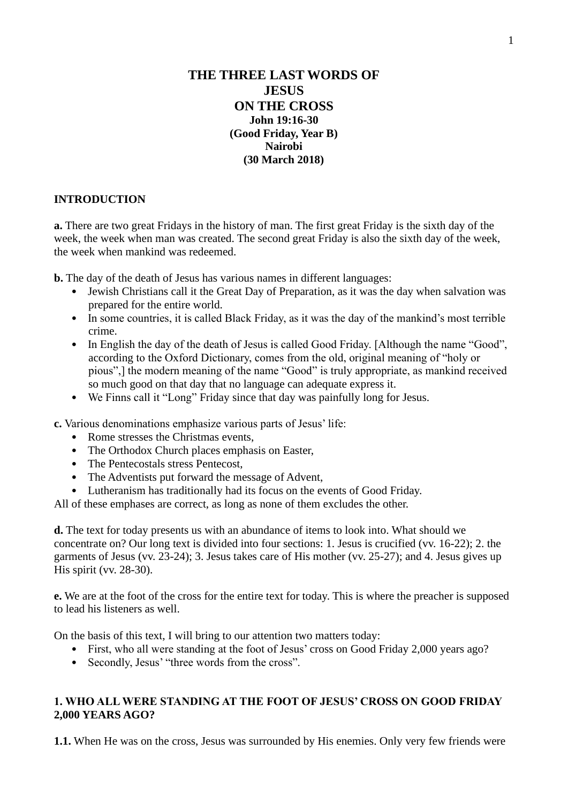# **THE THREE LAST WORDS OF JESUS ON THE CROSS John 19:16-30 (Good Friday, Year B) Nairobi (30 March 2018)**

#### **INTRODUCTION**

**a.** There are two great Fridays in the history of man. The first great Friday is the sixth day of the week, the week when man was created. The second great Friday is also the sixth day of the week, the week when mankind was redeemed.

**b.** The day of the death of Jesus has various names in different languages:

- Jewish Christians call it the Great Day of Preparation, as it was the day when salvation was prepared for the entire world.
- In some countries, it is called Black Friday, as it was the day of the mankind's most terrible crime.
- In English the day of the death of Jesus is called Good Friday. [Although the name "Good", according to the Oxford Dictionary, comes from the old, original meaning of "holy or pious",] the modern meaning of the name "Good" is truly appropriate, as mankind received so much good on that day that no language can adequate express it.
- We Finns call it "Long" Friday since that day was painfully long for Jesus.

**c.** Various denominations emphasize various parts of Jesus' life:

- Rome stresses the Christmas events,
- The Orthodox Church places emphasis on Easter,
- The Pentecostals stress Pentecost,
- The Adventists put forward the message of Advent,
- Lutheranism has traditionally had its focus on the events of Good Friday.

All of these emphases are correct, as long as none of them excludes the other.

**d.** The text for today presents us with an abundance of items to look into. What should we concentrate on? Our long text is divided into four sections: 1. Jesus is crucified (vv. 16-22); 2. the garments of Jesus (vv. 23-24); 3. Jesus takes care of His mother (vv. 25-27); and 4. Jesus gives up His spirit (vv. 28-30).

**e.** We are at the foot of the cross for the entire text for today. This is where the preacher is supposed to lead his listeners as well.

On the basis of this text, I will bring to our attention two matters today:

- First, who all were standing at the foot of Jesus' cross on Good Friday 2,000 years ago?
- Secondly, Jesus' "three words from the cross".

## **1. WHO ALL WERE STANDING AT THE FOOT OF JESUS' CROSS ON GOOD FRIDAY 2,000 YEARS AGO?**

**1.1.** When He was on the cross, Jesus was surrounded by His enemies. Only very few friends were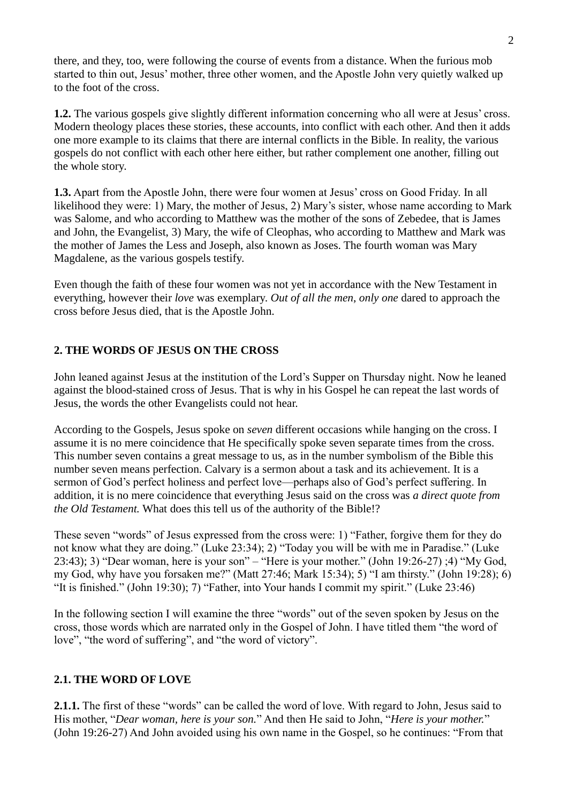there, and they, too, were following the course of events from a distance. When the furious mob started to thin out, Jesus' mother, three other women, and the Apostle John very quietly walked up to the foot of the cross.

**1.2.** The various gospels give slightly different information concerning who all were at Jesus' cross. Modern theology places these stories, these accounts, into conflict with each other. And then it adds one more example to its claims that there are internal conflicts in the Bible. In reality, the various gospels do not conflict with each other here either, but rather complement one another, filling out the whole story.

**1.3.** Apart from the Apostle John, there were four women at Jesus' cross on Good Friday. In all likelihood they were: 1) Mary, the mother of Jesus, 2) Mary's sister, whose name according to Mark was Salome, and who according to Matthew was the mother of the sons of Zebedee, that is James and John, the Evangelist, 3) Mary, the wife of Cleophas, who according to Matthew and Mark was the mother of James the Less and Joseph, also known as Joses. The fourth woman was Mary Magdalene, as the various gospels testify.

Even though the faith of these four women was not yet in accordance with the New Testament in everything, however their *love* was exemplary. *Out of all the men*, *only one* dared to approach the cross before Jesus died, that is the Apostle John.

## **2. THE WORDS OF JESUS ON THE CROSS**

John leaned against Jesus at the institution of the Lord's Supper on Thursday night. Now he leaned against the blood-stained cross of Jesus. That is why in his Gospel he can repeat the last words of Jesus, the words the other Evangelists could not hear.

According to the Gospels, Jesus spoke on *seven* different occasions while hanging on the cross. I assume it is no mere coincidence that He specifically spoke seven separate times from the cross. This number seven contains a great message to us, as in the number symbolism of the Bible this number seven means perfection. Calvary is a sermon about a task and its achievement. It is a sermon of God's perfect holiness and perfect love—perhaps also of God's perfect suffering. In addition, it is no mere coincidence that everything Jesus said on the cross was *a direct quote from the Old Testament.* What does this tell us of the authority of the Bible!?

These seven "words" of Jesus expressed from the cross were: 1) "Father, forgive them for they do not know what they are doing." (Luke 23:34); 2) "Today you will be with me in Paradise." (Luke 23:43); 3) "Dear woman, here is your son" – "Here is your mother." (John 19:26-27) ;4) "My God, my God, why have you forsaken me?" (Matt 27:46; Mark 15:34); 5) "I am thirsty." (John 19:28); 6) "It is finished." (John 19:30); 7) "Father, into Your hands I commit my spirit." (Luke 23:46)

In the following section I will examine the three "words" out of the seven spoken by Jesus on the cross, those words which are narrated only in the Gospel of John. I have titled them "the word of love", "the word of suffering", and "the word of victory".

## **2.1. THE WORD OF LOVE**

**2.1.1.** The first of these "words" can be called the word of love. With regard to John, Jesus said to His mother, "*Dear woman, here is your son.*" And then He said to John, "*Here is your mother.*" (John 19:26-27) And John avoided using his own name in the Gospel, so he continues: "From that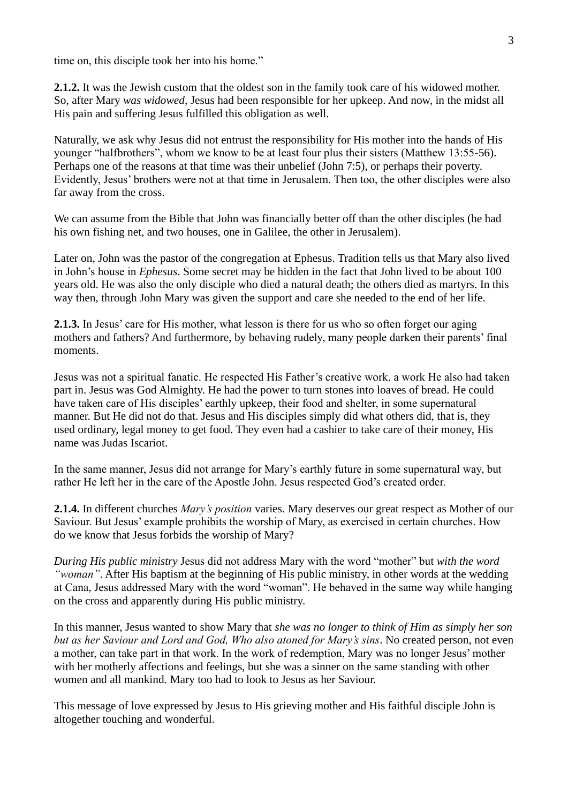time on, this disciple took her into his home."

**2.1.2.** It was the Jewish custom that the oldest son in the family took care of his widowed mother. So, after Mary *was widowed*, Jesus had been responsible for her upkeep. And now, in the midst all His pain and suffering Jesus fulfilled this obligation as well.

Naturally, we ask why Jesus did not entrust the responsibility for His mother into the hands of His younger "halfbrothers", whom we know to be at least four plus their sisters (Matthew 13:55-56). Perhaps one of the reasons at that time was their unbelief (John 7:5), or perhaps their poverty. Evidently, Jesus' brothers were not at that time in Jerusalem. Then too, the other disciples were also far away from the cross.

We can assume from the Bible that John was financially better off than the other disciples (he had his own fishing net, and two houses, one in Galilee, the other in Jerusalem).

Later on, John was the pastor of the congregation at Ephesus. Tradition tells us that Mary also lived in John's house in *Ephesus*. Some secret may be hidden in the fact that John lived to be about 100 years old. He was also the only disciple who died a natural death; the others died as martyrs. In this way then, through John Mary was given the support and care she needed to the end of her life.

**2.1.3.** In Jesus' care for His mother, what lesson is there for us who so often forget our aging mothers and fathers? And furthermore, by behaving rudely, many people darken their parents' final moments.

Jesus was not a spiritual fanatic. He respected His Father's creative work, a work He also had taken part in. Jesus was God Almighty. He had the power to turn stones into loaves of bread. He could have taken care of His disciples' earthly upkeep, their food and shelter, in some supernatural manner. But He did not do that. Jesus and His disciples simply did what others did, that is, they used ordinary, legal money to get food. They even had a cashier to take care of their money, His name was Judas Iscariot.

In the same manner, Jesus did not arrange for Mary's earthly future in some supernatural way, but rather He left her in the care of the Apostle John. Jesus respected God's created order.

**2.1.4.** In different churches *Mary's position* varies. Mary deserves our great respect as Mother of our Saviour. But Jesus' example prohibits the worship of Mary, as exercised in certain churches. How do we know that Jesus forbids the worship of Mary?

*During His public ministry* Jesus did not address Mary with the word "mother" but *with the word "woman"*. After His baptism at the beginning of His public ministry, in other words at the wedding at Cana, Jesus addressed Mary with the word "woman". He behaved in the same way while hanging on the cross and apparently during His public ministry.

In this manner, Jesus wanted to show Mary that *she was no longer to think of Him as simply her son but as her Saviour and Lord and God, Who also atoned for Mary's sins*. No created person, not even a mother, can take part in that work. In the work of redemption, Mary was no longer Jesus' mother with her motherly affections and feelings, but she was a sinner on the same standing with other women and all mankind. Mary too had to look to Jesus as her Saviour.

This message of love expressed by Jesus to His grieving mother and His faithful disciple John is altogether touching and wonderful.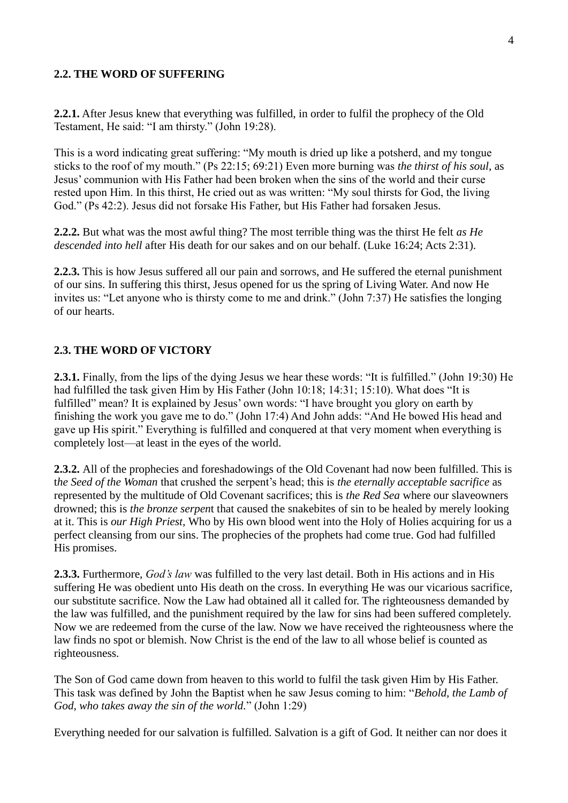#### **2.2. THE WORD OF SUFFERING**

**2.2.1.** After Jesus knew that everything was fulfilled, in order to fulfil the prophecy of the Old Testament, He said: "I am thirsty." (John 19:28).

This is a word indicating great suffering: "My mouth is dried up like a potsherd, and my tongue sticks to the roof of my mouth." (Ps 22:15; 69:21) Even more burning was *the thirst of his soul*, as Jesus' communion with His Father had been broken when the sins of the world and their curse rested upon Him. In this thirst, He cried out as was written: "My soul thirsts for God, the living God." (Ps 42:2). Jesus did not forsake His Father, but His Father had forsaken Jesus.

**2.2.2.** But what was the most awful thing? The most terrible thing was the thirst He felt *as He descended into hell* after His death for our sakes and on our behalf. (Luke 16:24; Acts 2:31).

**2.2.3.** This is how Jesus suffered all our pain and sorrows, and He suffered the eternal punishment of our sins. In suffering this thirst, Jesus opened for us the spring of Living Water. And now He invites us: "Let anyone who is thirsty come to me and drink." (John 7:37) He satisfies the longing of our hearts.

#### **2.3. THE WORD OF VICTORY**

**2.3.1.** Finally, from the lips of the dying Jesus we hear these words: "It is fulfilled." (John 19:30) He had fulfilled the task given Him by His Father (John 10:18; 14:31; 15:10). What does "It is fulfilled" mean? It is explained by Jesus' own words: "I have brought you glory on earth by finishing the work you gave me to do." (John 17:4) And John adds: "And He bowed His head and gave up His spirit." Everything is fulfilled and conquered at that very moment when everything is completely lost—at least in the eyes of the world.

**2.3.2.** All of the prophecies and foreshadowings of the Old Covenant had now been fulfilled. This is t*he Seed of the Woman* that crushed the serpent's head; this is *the eternally acceptable sacrifice* as represented by the multitude of Old Covenant sacrifices; this is *the Red Sea* where our slaveowners drowned; this is *the bronze serpen*t that caused the snakebites of sin to be healed by merely looking at it. This is *our High Priest,* Who by His own blood went into the Holy of Holies acquiring for us a perfect cleansing from our sins. The prophecies of the prophets had come true. God had fulfilled His promises.

**2.3.3.** Furthermore, *God's law* was fulfilled to the very last detail. Both in His actions and in His suffering He was obedient unto His death on the cross. In everything He was our vicarious sacrifice, our substitute sacrifice. Now the Law had obtained all it called for. The righteousness demanded by the law was fulfilled, and the punishment required by the law for sins had been suffered completely. Now we are redeemed from the curse of the law. Now we have received the righteousness where the law finds no spot or blemish. Now Christ is the end of the law to all whose belief is counted as righteousness.

The Son of God came down from heaven to this world to fulfil the task given Him by His Father. This task was defined by John the Baptist when he saw Jesus coming to him: "*Behold, the Lamb of God, who takes away the sin of the world.*" (John 1:29)

Everything needed for our salvation is fulfilled. Salvation is a gift of God. It neither can nor does it